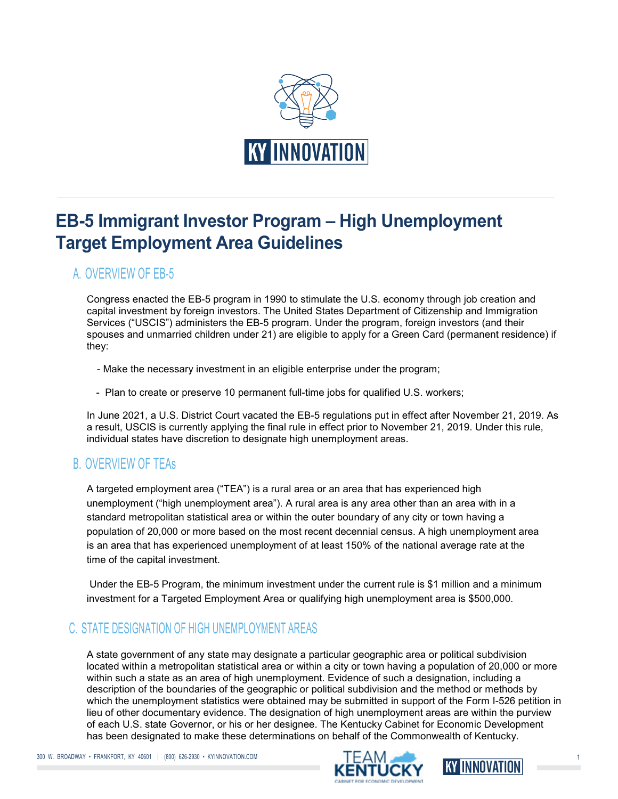

# EB-5 Immigrant Investor Program – High Unemployment Target Employment Area Guidelines

## A. OVERVIEW OF EB-5

Congress enacted the EB-5 program in 1990 to stimulate the U.S. economy through job creation and capital investment by foreign investors. The United States Department of Citizenship and Immigration Services ("USCIS") administers the EB-5 program. Under the program, foreign investors (and their spouses and unmarried children under 21) are eligible to apply for a Green Card (permanent residence) if they:

- Make the necessary investment in an eligible enterprise under the program;
- Plan to create or preserve 10 permanent full-time jobs for qualified U.S. workers;

In June 2021, a U.S. District Court vacated the EB-5 regulations put in effect after November 21, 2019. As a result, USCIS is currently applying the final rule in effect prior to November 21, 2019. Under this rule, individual states have discretion to designate high unemployment areas.

## B. OVERVIEW OF TEAs

A targeted employment area ("TEA") is a rural area or an area that has experienced high unemployment ("high unemployment area"). A rural area is any area other than an area with in a standard metropolitan statistical area or within the outer boundary of any city or town having a population of 20,000 or more based on the most recent decennial census. A high unemployment area is an area that has experienced unemployment of at least 150% of the national average rate at the time of the capital investment.

 Under the EB-5 Program, the minimum investment under the current rule is \$1 million and a minimum investment for a Targeted Employment Area or qualifying high unemployment area is \$500,000.

## C. STATE DESIGNATION OF HIGH UNEMPLOYMENT AREAS

A state government of any state may designate a particular geographic area or political subdivision located within a metropolitan statistical area or within a city or town having a population of 20,000 or more within such a state as an area of high unemployment. Evidence of such a designation, including a description of the boundaries of the geographic or political subdivision and the method or methods by which the unemployment statistics were obtained may be submitted in support of the Form I-526 petition in lieu of other documentary evidence. The designation of high unemployment areas are within the purview of each U.S. state Governor, or his or her designee. The Kentucky Cabinet for Economic Development has been designated to make these determinations on behalf of the Commonwealth of Kentucky.